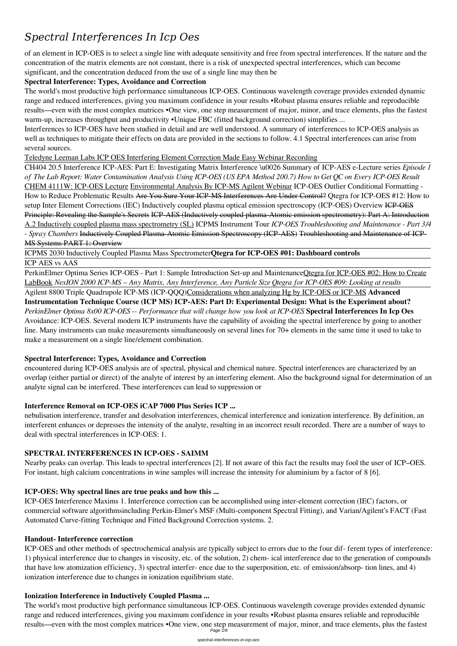# *Spectral Interferences In Icp Oes*

of an element in ICP-OES is to select a single line with adequate sensitivity and free from spectral interferences. If the nature and the concentration of the matrix elements are not constant, there is a risk of unexpected spectral interferences, which can become significant, and the concentration deduced from the use of a single line may then be

The world's most productive high performance simultaneous ICP-OES. Continuous wavelength coverage provides extended dynamic range and reduced interferences, giving you maximum confidence in your results •Robust plasma ensures reliable and reproducible results—even with the most complex matrices •One view, one step measurement of major, minor, and trace elements, plus the fastest warm-up, increases throughput and productivity •Unique FBC (fitted background correction) simplifies ...

### **Spectral Interference: Types, Avoidance and Correction**

Interferences to ICP-OES have been studied in detail and are well understood. A summary of interferences to ICP-OES analysis as well as techniques to mitigate their effects on data are provided in the sections to follow. 4.1 Spectral interferences can arise from several sources.

Teledyne Leeman Labs ICP OES Interfering Element Correction Made Easy Webinar Recording

PerkinElmer Optima Series ICP-OES - Part 1: Sample Introduction Set-up and MaintenanceQtegra for ICP-OES #02: How to Create LabBook *NexION 2000 ICP-MS – Any Matrix, Any Interference, Any Particle Size Qtegra for ICP-OES #09: Looking at results* Agilent 8800 Triple Quadrupole ICP-MS (ICP-QQQ)Considerations when analyzing Hg by ICP-OES or ICP-MS **Advanced**

CH404 20.5 Interference ICP-AES: Part E: Investigating Matrix Interference \u0026 Summary of ICP-AES e-Lecture series *Episode 1 of The Lab Report: Water Contamination Analysis Using ICP-OES (US EPA Method 200.7) How to Get QC on Every ICP-OES Result* CHEM 4111W: ICP-OES Lecture Environmental Analysis By ICP-MS Agilent Webinar ICP-OES Outlier Conditional Formatting - How to Reduce Problematic Results Are You Sure Your ICP-MS Interferences Are Under Control? Qtegra for ICP-OES #12: How to setup Inter Element Corrections (IEC) Inductively coupled plasma optical emission spectroscopy (ICP-OES) Overview ICP-OES Principle: Revealing the Sample's Secrets ICP-AES (Inductively coupled plasma-Atomic emission spectrometry): Part A: Introduction A.2 Inductively coupled plasma mass spectrometry (SL) ICPMS Instrument Tour *ICP-OES Troubleshooting and Maintenance - Part 3/4 - Spray Chambers* Inductively Coupled Plasma-Atomic Emission Spectroscopy (ICP-AES) Troubleshooting and Maintenance of ICP-MS Systems PART 1: Overview

ICPMS 2030 Inductively Coupled Plasma Mass Spectrometer**Qtegra for ICP-OES #01: Dashboard controls**

ICP AES vs AAS

The world's most productive high performance simultaneous ICP-OES. Continuous wavelength coverage provides extended dynamic range and reduced interferences, giving you maximum confidence in your results •Robust plasma ensures reliable and reproducible results—even with the most complex matrices •One view, one step measurement of major, minor, and trace elements, plus the fastest Page  $\overline{1}/6$ 

**Instrumentation Technique Course (ICP MS) ICP-AES: Part D: Experimental Design: What is the Experiment about?** *PerkinElmer Optima 8x00 ICP-OES -- Performance that will change how you look at ICP-OES* **Spectral Interferences In Icp Oes** Avoidance: ICP-OES. Several modern ICP instruments have the capability of avoiding the spectral interference by going to another line. Many instruments can make measurements simultaneously on several lines for 70+ elements in the same time it used to take to make a measurement on a single line/element combination.

### **Spectral Interference: Types, Avoidance and Correction**

encountered during ICP-OES analysis are of spectral, physical and chemical nature. Spectral interferences are characterized by an overlap (either partial or direct) of the analyte of interest by an interfering element. Also the background signal for determination of an analyte signal can be interfered. These interferences can lead to suppression or

### **Interference Removal on ICP-OES iCAP 7000 Plus Series ICP ...**

nebulisation interference, transfer and desolvation interferences, chemical interference and ionization interference. By definition, an interferent enhances or depresses the intensity of the analyte, resulting in an incorrect result recorded. There are a number of ways to deal with spectral interferences in ICP-OES: 1.

### **SPECTRAL INTERFERENCES IN ICP-OES - SAIMM**

Nearby peaks can overlap. This leads to spectral interferences [2]. If not aware of this fact the results may fool the user of ICP–OES. For instant, high calcium concentrations in wine samples will increase the intensity for aluminium by a factor of 8 [6].

#### **ICP-OES: Why spectral lines are true peaks and how this ...**

ICP-OES Interference Maxims 1. Interference correction can be accomplished using inter-element correction (IEC) factors, or commercial software algorithmsincluding Perkin-Elmer's MSF (Multi-component Spectral Fitting), and Varian/Agilent's FACT (Fast Automated Curve-fitting Technique and Fitted Background Correction systems. 2.

#### **Handout- Interference correction**

ICP-OES and other methods of spectrochemical analysis are typically subject to errors due to the four dif- ferent types of interference: 1) physical interference due to changes in viscosity, etc. of the solution, 2) chem- ical interference due to the generation of compounds that have low atomization efficiency, 3) spectral interfer- ence due to the superposition, etc. of emission/absorp- tion lines, and 4) ionization interference due to changes in ionization equilibrium state.

#### **Ionization Interference in Inductively Coupled Plasma ...**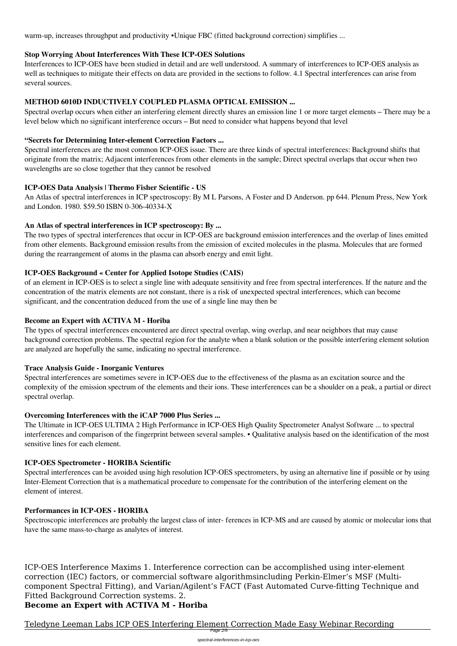warm-up, increases throughput and productivity •Unique FBC (fitted background correction) simplifies ...

### **Stop Worrying About Interferences With These ICP-OES Solutions**

Interferences to ICP-OES have been studied in detail and are well understood. A summary of interferences to ICP-OES analysis as well as techniques to mitigate their effects on data are provided in the sections to follow. 4.1 Spectral interferences can arise from several sources.

### **METHOD 6010D INDUCTIVELY COUPLED PLASMA OPTICAL EMISSION ...**

Spectral overlap occurs when either an interfering element directly shares an emission line 1 or more target elements – There may be a level below which no significant interference occurs – But need to consider what happens beyond that level

### **"Secrets for Determining Inter-element Correction Factors ...**

Spectral interferences are the most common ICP-OES issue. There are three kinds of spectral interferences: Background shifts that originate from the matrix; Adjacent interferences from other elements in the sample; Direct spectral overlaps that occur when two wavelengths are so close together that they cannot be resolved

### **ICP-OES Data Analysis | Thermo Fisher Scientific - US**

An Atlas of spectral interferences in ICP spectroscopy: By M L Parsons, A Foster and D Anderson. pp 644. Plenum Press, New York and London. 1980. \$59.50 ISBN 0‐306‐40334‐X

### **An Atlas of spectral interferences in ICP spectroscopy: By ...**

The two types of spectral interferences that occur in ICP-OES are background emission interferences and the overlap of lines emitted from other elements. Background emission results from the emission of excited molecules in the plasma. Molecules that are formed during the rearrangement of atoms in the plasma can absorb energy and emit light.

### **ICP-OES Background « Center for Applied Isotope Studies (CAIS)**

of an element in ICP-OES is to select a single line with adequate sensitivity and free from spectral interferences. If the nature and the concentration of the matrix elements are not constant, there is a risk of unexpected spectral interferences, which can become significant, and the concentration deduced from the use of a single line may then be

### **Become an Expert with ACTIVA M - Horiba**

The types of spectral interferences encountered are direct spectral overlap, wing overlap, and near neighbors that may cause background correction problems. The spectral region for the analyte when a blank solution or the possible interfering element solution are analyzed are hopefully the same, indicating no spectral interference.

### **Trace Analysis Guide - Inorganic Ventures**

Spectral interferences are sometimes severe in ICP-OES due to the effectiveness of the plasma as an excitation source and the complexity of the emission spectrum of the elements and their ions. These interferences can be a shoulder on a peak, a partial or direct spectral overlap.

### **Overcoming Interferences with the iCAP 7000 Plus Series ...**

The Ultimate in ICP-OES ULTIMA 2 High Performance in ICP-OES High Quality Spectrometer Analyst Software ... to spectral interferences and comparison of the fingerprint between several samples. • Qualitative analysis based on the identification of the most sensitive lines for each element.

### **ICP-OES Spectrometer - HORIBA Scientific**

Spectral interferences can be avoided using high resolution ICP-OES spectrometers, by using an alternative line if possible or by using Inter-Element Correction that is a mathematical procedure to compensate for the contribution of the interfering element on the

### **Performances in ICP-OES - HORIBA**

Spectroscopic interferences are probably the largest class of inter- ferences in ICP-MS and are caused by atomic or molecular ions that have the same mass-to-charge as analytes of interest.

ICP-OES Interference Maxims 1. Interference correction can be accomplished using inter-element correction (IEC) factors, or commercial software algorithmsincluding Perkin-Elmer's MSF (Multicomponent Spectral Fitting), and Varian/Agilent's FACT (Fast Automated Curve-fitting Technique and Fitted Background Correction systems. 2. **Become an Expert with ACTIVA M - Horiba**

Teledyne Leeman Labs ICP OES Interfering Element Correction Made Easy Webinar Recording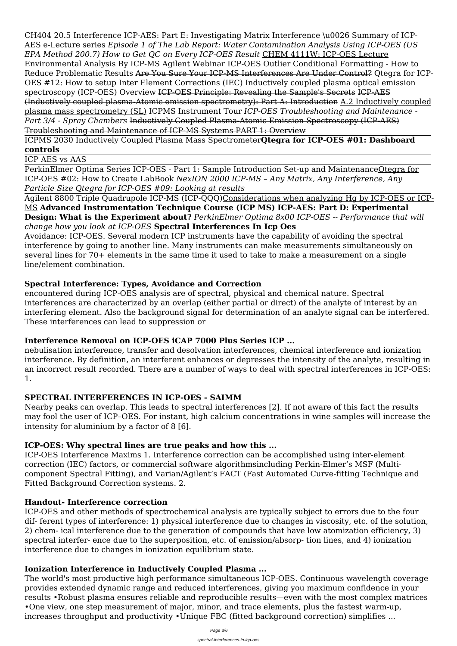CH404 20.5 Interference ICP-AES: Part E: Investigating Matrix Interference \u0026 Summary of ICP-AES e-Lecture series *Episode 1 of The Lab Report: Water Contamination Analysis Using ICP-OES (US EPA Method 200.7) How to Get QC on Every ICP-OES Result* CHEM 4111W: ICP-OES Lecture Environmental Analysis By ICP-MS Agilent Webinar ICP-OES Outlier Conditional Formatting - How to Reduce Problematic Results Are You Sure Your ICP-MS Interferences Are Under Control? Qtegra for ICP-OES #12: How to setup Inter Element Corrections (IEC) Inductively coupled plasma optical emission spectroscopy (ICP-OES) Overview ICP-OES Principle: Revealing the Sample's Secrets ICP-AES (Inductively coupled plasma-Atomic emission spectrometry): Part A: Introduction A.2 Inductively coupled plasma mass spectrometry (SL) ICPMS Instrument Tour *ICP-OES Troubleshooting and Maintenance - Part 3/4 - Spray Chambers* Inductively Coupled Plasma-Atomic Emission Spectroscopy (ICP-AES) Troubleshooting and Maintenance of ICP-MS Systems PART 1: Overview

ICPMS 2030 Inductively Coupled Plasma Mass Spectrometer**Qtegra for ICP-OES #01: Dashboard controls**

ICP AES vs AAS

PerkinElmer Optima Series ICP-OES - Part 1: Sample Introduction Set-up and MaintenanceQtegra for ICP-OES #02: How to Create LabBook *NexION 2000 ICP-MS – Any Matrix, Any Interference, Any Particle Size Qtegra for ICP-OES #09: Looking at results*

Agilent 8800 Triple Quadrupole ICP-MS (ICP-QQQ)Considerations when analyzing Hg by ICP-OES or ICP-MS **Advanced Instrumentation Technique Course (ICP MS) ICP-AES: Part D: Experimental Design: What is the Experiment about?** *PerkinElmer Optima 8x00 ICP-OES -- Performance that will change how you look at ICP-OES* **Spectral Interferences In Icp Oes**

Avoidance: ICP-OES. Several modern ICP instruments have the capability of avoiding the spectral interference by going to another line. Many instruments can make measurements simultaneously on several lines for 70+ elements in the same time it used to take to make a measurement on a single line/element combination.

The world's most productive high performance simultaneous ICP-OES. Continuous wavelength coverage provides extended dynamic range and reduced interferences, giving you maximum confidence in your results •Robust plasma ensures reliable and reproducible results—even with the most complex matrices •One view, one step measurement of major, minor, and trace elements, plus the fastest warm-up, increases throughput and productivity • Unique FBC (fitted background correction) simplifies ...

# **Spectral Interference: Types, Avoidance and Correction**

encountered during ICP-OES analysis are of spectral, physical and chemical nature. Spectral interferences are characterized by an overlap (either partial or direct) of the analyte of interest by an interfering element. Also the background signal for determination of an analyte signal can be interfered. These interferences can lead to suppression or

# **Interference Removal on ICP-OES iCAP 7000 Plus Series ICP ...**

nebulisation interference, transfer and desolvation interferences, chemical interference and ionization interference. By definition, an interferent enhances or depresses the intensity of the analyte, resulting in an incorrect result recorded. There are a number of ways to deal with spectral interferences in ICP-OES: 1.

# **SPECTRAL INTERFERENCES IN ICP-OES - SAIMM**

Nearby peaks can overlap. This leads to spectral interferences [2]. If not aware of this fact the results may fool the user of ICP–OES. For instant, high calcium concentrations in wine samples will increase the intensity for aluminium by a factor of 8 [6].

# **ICP-OES: Why spectral lines are true peaks and how this ...**

ICP-OES Interference Maxims 1. Interference correction can be accomplished using inter-element correction (IEC) factors, or commercial software algorithmsincluding Perkin-Elmer's MSF (Multicomponent Spectral Fitting), and Varian/Agilent's FACT (Fast Automated Curve-fitting Technique and Fitted Background Correction systems. 2.

### **Handout- Interference correction**

ICP-OES and other methods of spectrochemical analysis are typically subject to errors due to the four dif- ferent types of interference: 1) physical interference due to changes in viscosity, etc. of the solution, 2) chem- ical interference due to the generation of compounds that have low atomization efficiency, 3) spectral interfer- ence due to the superposition, etc. of emission/absorp- tion lines, and 4) ionization interference due to changes in ionization equilibrium state.

### **Ionization Interference in Inductively Coupled Plasma ...**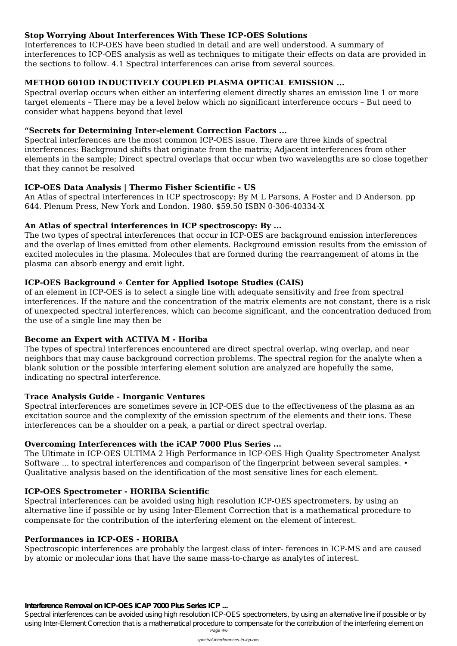## **Stop Worrying About Interferences With These ICP-OES Solutions**

Interferences to ICP-OES have been studied in detail and are well understood. A summary of interferences to ICP-OES analysis as well as techniques to mitigate their effects on data are provided in the sections to follow. 4.1 Spectral interferences can arise from several sources.

## **METHOD 6010D INDUCTIVELY COUPLED PLASMA OPTICAL EMISSION ...**

Spectral overlap occurs when either an interfering element directly shares an emission line 1 or more target elements – There may be a level below which no significant interference occurs – But need to consider what happens beyond that level

### **"Secrets for Determining Inter-element Correction Factors ...**

Spectral interferences are the most common ICP-OES issue. There are three kinds of spectral interferences: Background shifts that originate from the matrix; Adjacent interferences from other elements in the sample; Direct spectral overlaps that occur when two wavelengths are so close together that they cannot be resolved

# **ICP-OES Data Analysis | Thermo Fisher Scientific - US**

An Atlas of spectral interferences in ICP spectroscopy: By M L Parsons, A Foster and D Anderson. pp 644. Plenum Press, New York and London. 1980. \$59.50 ISBN 0‐306‐40334‐X

# **An Atlas of spectral interferences in ICP spectroscopy: By ...**

The two types of spectral interferences that occur in ICP-OES are background emission interferences and the overlap of lines emitted from other elements. Background emission results from the emission of excited molecules in the plasma. Molecules that are formed during the rearrangement of atoms in the plasma can absorb energy and emit light.

# **ICP-OES Background « Center for Applied Isotope Studies (CAIS)**

of an element in ICP-OES is to select a single line with adequate sensitivity and free from spectral interferences. If the nature and the concentration of the matrix elements are not constant, there is a risk of unexpected spectral interferences, which can become significant, and the concentration deduced from the use of a single line may then be

### **Become an Expert with ACTIVA M - Horiba**

The types of spectral interferences encountered are direct spectral overlap, wing overlap, and near neighbors that may cause background correction problems. The spectral region for the analyte when a blank solution or the possible interfering element solution are analyzed are hopefully the same, indicating no spectral interference.

### **Trace Analysis Guide - Inorganic Ventures**

Spectral interferences are sometimes severe in ICP-OES due to the effectiveness of the plasma as an excitation source and the complexity of the emission spectrum of the elements and their ions. These interferences can be a shoulder on a peak, a partial or direct spectral overlap.

# **Overcoming Interferences with the iCAP 7000 Plus Series ...**

The Ultimate in ICP-OES ULTIMA 2 High Performance in ICP-OES High Quality Spectrometer Analyst Software ... to spectral interferences and comparison of the fingerprint between several samples.  $\bullet$ Qualitative analysis based on the identification of the most sensitive lines for each element.

#### **ICP-OES Spectrometer - HORIBA Scientific**

Spectral interferences can be avoided using high resolution ICP-OES spectrometers, by using an alternative line if possible or by using Inter-Element Correction that is a mathematical procedure to compensate for the contribution of the interfering element on the element of interest.

### **Performances in ICP-OES - HORIBA**

Spectroscopic interferences are probably the largest class of inter- ferences in ICP-MS and are caused by atomic or molecular ions that have the same mass-to-charge as analytes of interest.

#### **Interference Removal on ICP-OES iCAP 7000 Plus Series ICP ...**

Spectral interferences can be avoided using high resolution ICP-OES spectrometers, by using an alternative line if possible or by using Inter-Element Correction that is a mathematical procedure to compensate for the contribution of the interfering element on Page 4/6

spectral-interferences-in-icp-oes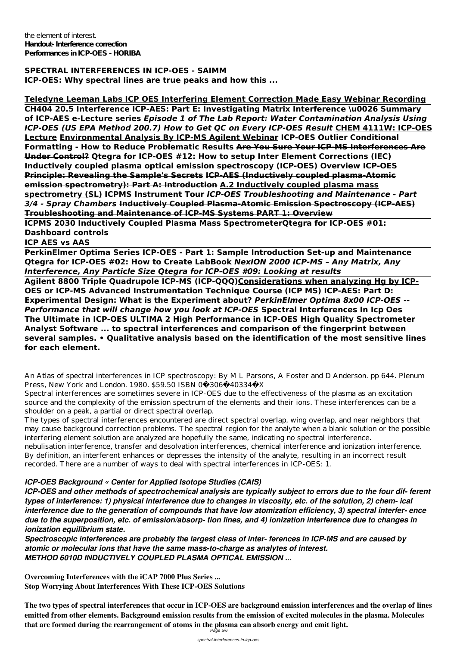the element of interest. **Handout- Interference correction Performances in ICP-OES - HORIBA**

**SPECTRAL INTERFERENCES IN ICP-OES - SAIMM ICP-OES: Why spectral lines are true peaks and how this ...**

**Teledyne Leeman Labs ICP OES Interfering Element Correction Made Easy Webinar Recording CH404 20.5 Interference ICP-AES: Part E: Investigating Matrix Interference \u0026 Summary of ICP-AES e-Lecture series** *Episode 1 of The Lab Report: Water Contamination Analysis Using ICP-OES (US EPA Method 200.7) How to Get QC on Every ICP-OES Result* **CHEM 4111W: ICP-OES Lecture Environmental Analysis By ICP-MS Agilent Webinar ICP-OES Outlier Conditional Formatting - How to Reduce Problematic Results Are You Sure Your ICP-MS Interferences Are Under Control? Qtegra for ICP-OES #12: How to setup Inter Element Corrections (IEC) Inductively coupled plasma optical emission spectroscopy (ICP-OES) Overview ICP-OES Principle: Revealing the Sample's Secrets ICP-AES (Inductively coupled plasma-Atomic emission spectrometry): Part A: Introduction A.2 Inductively coupled plasma mass spectrometry (SL) ICPMS Instrument Tour** *ICP-OES Troubleshooting and Maintenance - Part 3/4 - Spray Chambers* **Inductively Coupled Plasma-Atomic Emission Spectroscopy (ICP-AES) Troubleshooting and Maintenance of ICP-MS Systems PART 1: Overview**

**ICPMS 2030 Inductively Coupled Plasma Mass SpectrometerQtegra for ICP-OES #01: Dashboard controls**

**ICP AES vs AAS**

**PerkinElmer Optima Series ICP-OES - Part 1: Sample Introduction Set-up and Maintenance Qtegra for ICP-OES #02: How to Create LabBook** *NexION 2000 ICP-MS – Any Matrix, Any Interference, Any Particle Size Qtegra for ICP-OES #09: Looking at results*

**Agilent 8800 Triple Quadrupole ICP-MS (ICP-QQQ)Considerations when analyzing Hg by ICP-OES or ICP-MS Advanced Instrumentation Technique Course (ICP MS) ICP-AES: Part D: Experimental Design: What is the Experiment about?** *PerkinElmer Optima 8x00 ICP-OES -- Performance that will change how you look at ICP-OES* **Spectral Interferences In Icp Oes The Ultimate in ICP-OES ULTIMA 2 High Performance in ICP-OES High Quality Spectrometer Analyst Software ... to spectral interferences and comparison of the fingerprint between several samples. • Qualitative analysis based on the identification of the most sensitive lines for each element.**

An Atlas of spectral interferences in ICP spectroscopy: By M L Parsons, A Foster and D Anderson. pp 644. Plenum Press, New York and London. 1980. \$59.50 ISBN 0‐306‐40334‐X

Spectral interferences are sometimes severe in ICP-OES due to the effectiveness of the plasma as an excitation source and the complexity of the emission spectrum of the elements and their ions. These interferences can be a shoulder on a peak, a partial or direct spectral overlap.

The types of spectral interferences encountered are direct spectral overlap, wing overlap, and near neighbors that may cause background correction problems. The spectral region for the analyte when a blank solution or the possible interfering element solution are analyzed are hopefully the same, indicating no spectral interference.

nebulisation interference, transfer and desolvation interferences, chemical interference and ionization interference. By definition, an interferent enhances or depresses the intensity of the analyte, resulting in an incorrect result recorded. There are a number of ways to deal with spectral interferences in ICP-OES: 1.

### *ICP-OES Background « Center for Applied Isotope Studies (CAIS)*

*ICP-OES and other methods of spectrochemical analysis are typically subject to errors due to the four dif- ferent types of interference: 1) physical interference due to changes in viscosity, etc. of the solution, 2) chem- ical interference due to the generation of compounds that have low atomization efficiency, 3) spectral interfer- ence due to the superposition, etc. of emission/absorp- tion lines, and 4) ionization interference due to changes in ionization equilibrium state.*

*Spectroscopic interferences are probably the largest class of inter- ferences in ICP-MS and are caused by atomic or molecular ions that have the same mass-to-charge as analytes of interest. METHOD 6010D INDUCTIVELY COUPLED PLASMA OPTICAL EMISSION ...*

**Overcoming Interferences with the iCAP 7000 Plus Series ... Stop Worrying About Interferences With These ICP-OES Solutions**

**The two types of spectral interferences that occur in ICP-OES are background emission interferences and the overlap of lines emitted from other elements. Background emission results from the emission of excited molecules in the plasma. Molecules that are formed during the rearrangement of atoms in the plasma can absorb energy and emit light.** Page 5/6

spectral-interferences-in-icp-oes